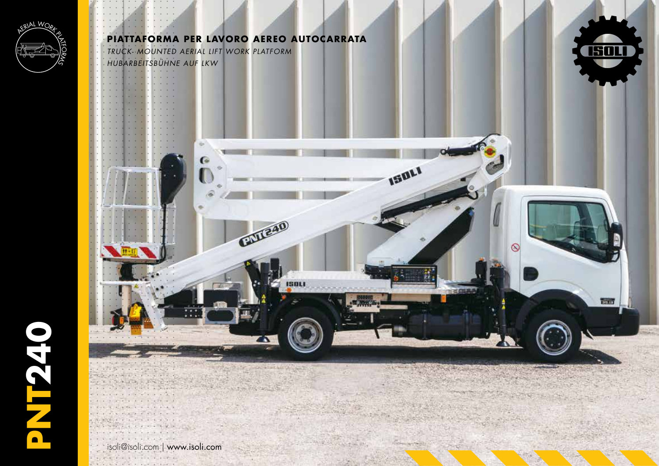